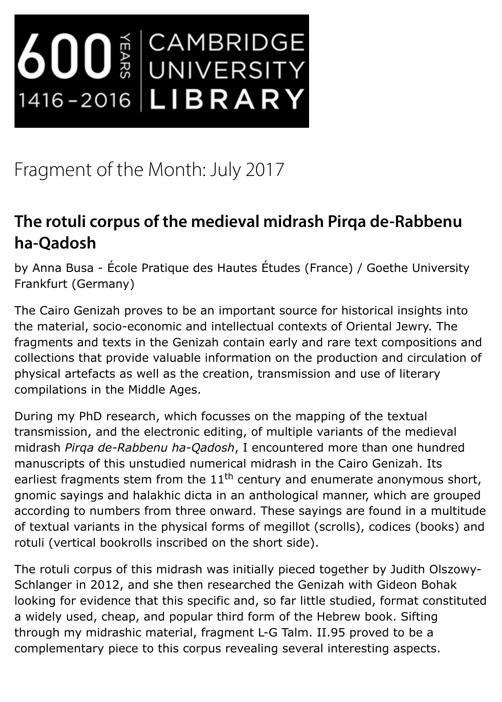## The rotuli corpus of the medieval midrash Pirqa de-Rabbe **ha-Qadosh**

by Anna Busa - École Pratique des Hautes Études (France) / Goethe Unive Frankfurt (Germany)

The Cairo Genizah proves to be an important source for historical insights the material, socio-economic and intellectual contexts of Oriental Jewry. The fragments and texts in the Genizah contain early and rare text compositions collections that provide valuable information on the production and circulation physical artefacts as well as the creation, transmission and use of literary co[mpilations i](https://www.uni-frankfurt.de/58206538/busa_vita)n the Middle Ages.

During my PhD research, which focusses on the mapping of the textual transmission, and the electronic editing, of multiple variants of the medie midrash *Pirqa de-Rabbenu ha-Qadosh*, I encountered more than one hun manuscripts of this unstudied numerical midrash in the Cairo Genizah. Its earliest fragments stem from the 11<sup>th</sup> century and enumerate anonymous gnomic sayings and halakhic dicta in an anthological manner, which are g according to numbers from three onward. These sayings are found in a m of textual variants in the physical forms of megillot (scrolls), codices (bod rotuli (vertical bookrolls inscribed on the short side).

The rotuli corpus of this midrash was initially pieced together by Judith O Schlanger in 2012, and she then researched the Genizah with Gideon Boh looking for evidence that this specific and, so far little studied, format cor a widely used, cheap, and popular third form of the Hebrew book. Sifting through my midrashic material, fragment L-G Talm. II.95 proved to be a complementary piece to this corpus revealing several interesting aspects.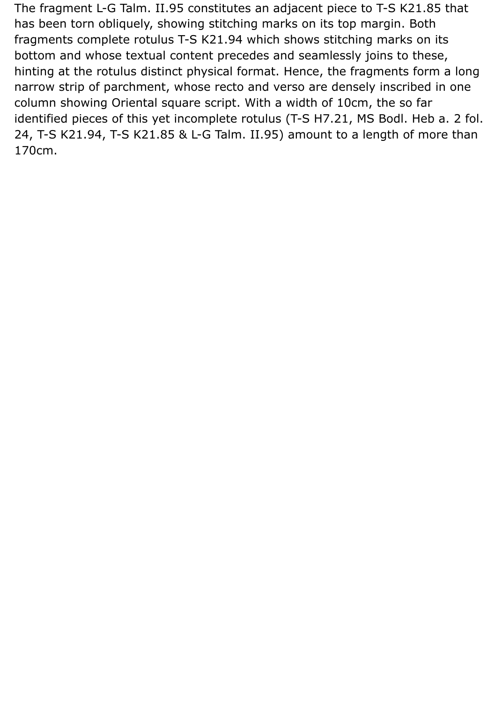The fragment L-G Talm. II.95 constitutes an adjacent piece to T-S K21.85 that has been torn obliquely, showing stitching marks on its top margin. Both fragments complete rotulus T-S K21.94 which shows stitching marks on its bottom and whose textual content precedes and seamlessly joins to these, hinting at the rotulus distinct physical format. Hence, the fragments form a long narrow strip of parchment, whose recto and verso are densely inscribed in one column showing Oriental square script. With a width of 10cm, the so far identified pieces of this yet incomplete rotulus (T-S H7.21, MS Bodl. Heb a. 2 fol. 24, T-S K21.94, T-S K21.85 & L-G Talm. II.95) amount to a length of more than 170cm.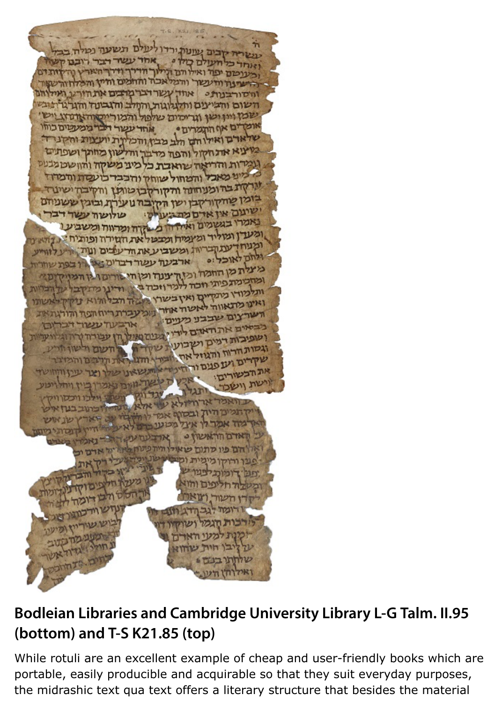שלארם ואילו חס חלב מבין והכלינת יועצות והקניד. בעיצוא את חקול והפה מדבר והלשון מחתך ושפתים גומרות והריאה שואבת כל מיני משקה והוושט מבעס כ מיני מאכל והמחול שוחק והכבר כועסת והמדוז ערקת בהומנוחונה והקורקבן טותן והקיבה ישינה בומן שחקורקבן ושן הקובה נוער ת ובוגין ששניחם ישינום אין אדם מת בע שה עשר דבר באמרו בנשמים ואחדה משקה ומרווח ומשביעו ומעדן ומוליד ומיומדו ומבטלאת הטירה ופותיח: נקהאינו עתקבריות ומשביע את ודעבים ועת ארבעוו עשוי רברום או <u>רך בפת שחריות</u> ת מן החמה ומות ענוד ומן מתפיתי חבה ללמדוזכ בל עד הברוות השרצום שבבע מ בבשרים את האדם ליו ושפיבות דמים ושבו "בום מאילו וגשות הרוח והגוזל שקרים ועופנים וו את הכשורים: וישת וישכר וואמר מעי הא יבן חיול שחו

## **Bodleian Libraries and Cambridge University Library L-G Talm. (bottom) and T-S K21.85 (top)**

While rotuli are an excellent example of cheap and user-friendly books wl portable, easily producible and acquirable so that they suit everyday purp the midrashic text qua text offers a literary structure that besides the ma